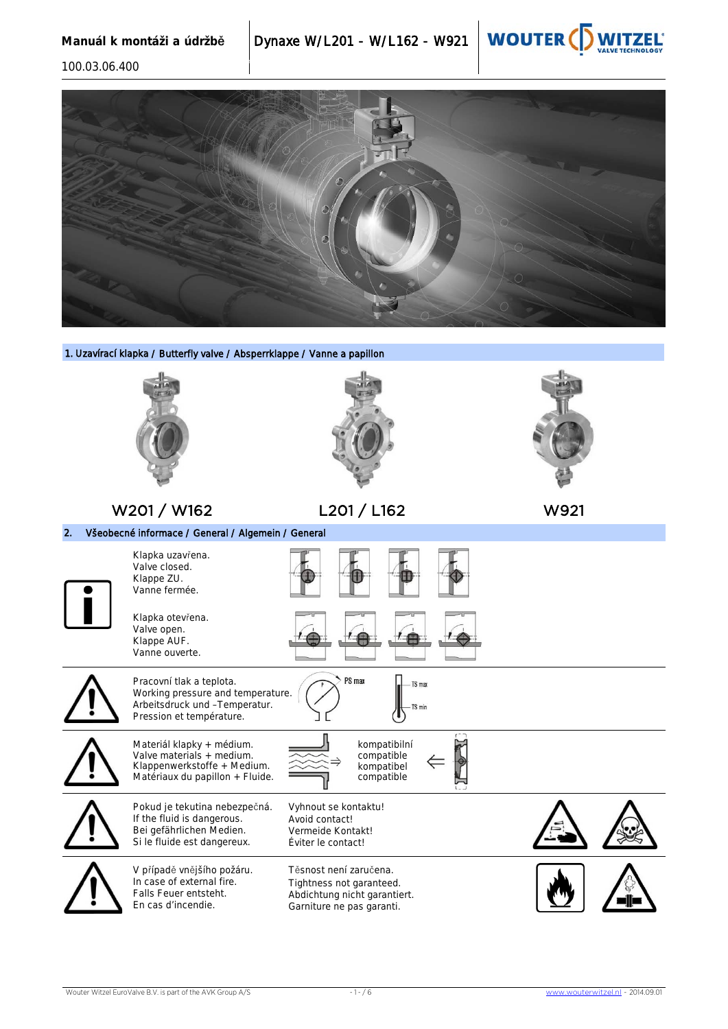



1. Uzavírací klapka / Butterfly valve / Absperrklappe / Vanne a papillon

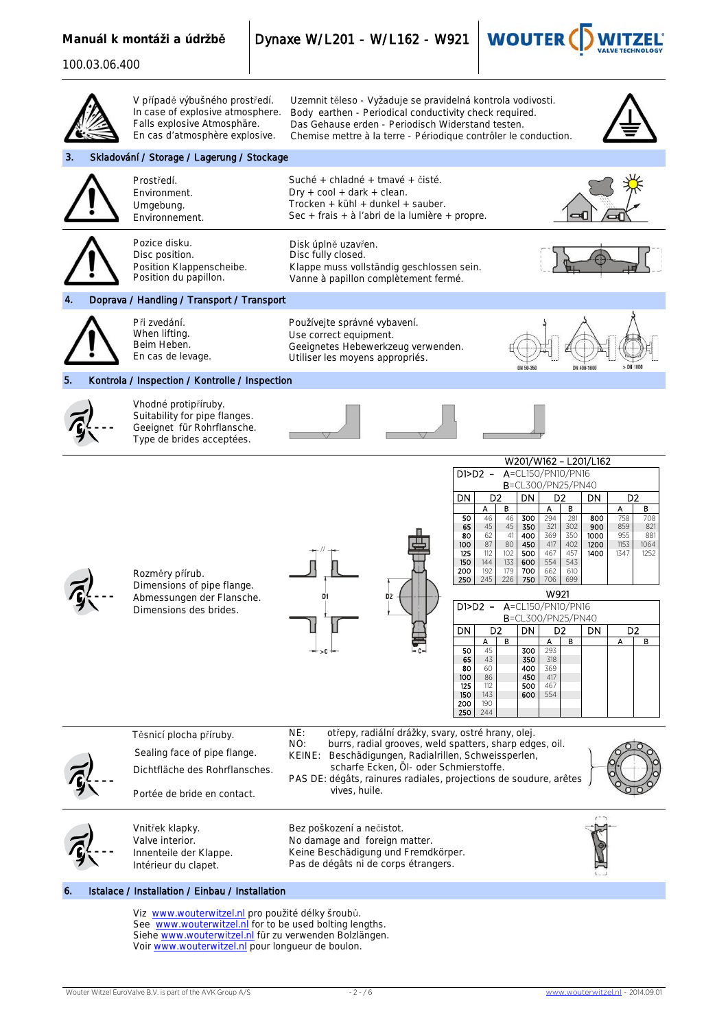**Manuál k montáži a údržbě** Dynaxe W/L201 - W/L162 - W921



|    | V případě výbušného prostředí.<br>In case of explosive atmosphere.<br>Falls explosive Atmosphäre.<br>En cas d'atmosphère explosive.                                                                                         | Uzemnit těleso - Vyžaduje se pravidelná kontrola vodivosti.<br>Body earthen - Periodical conductivity check required.<br>Das Gehause erden - Periodisch Widerstand testen.<br>Chemise mettre à la terre - Périodique contrôler le conduction.                                                                                                                                                                                                                                                                                                                                                                                                                                                                                                                                                                                                                                                                                                                                                                                        |
|----|-----------------------------------------------------------------------------------------------------------------------------------------------------------------------------------------------------------------------------|--------------------------------------------------------------------------------------------------------------------------------------------------------------------------------------------------------------------------------------------------------------------------------------------------------------------------------------------------------------------------------------------------------------------------------------------------------------------------------------------------------------------------------------------------------------------------------------------------------------------------------------------------------------------------------------------------------------------------------------------------------------------------------------------------------------------------------------------------------------------------------------------------------------------------------------------------------------------------------------------------------------------------------------|
| 3. | Skladování / Storage / Lagerung / Stockage                                                                                                                                                                                  |                                                                                                                                                                                                                                                                                                                                                                                                                                                                                                                                                                                                                                                                                                                                                                                                                                                                                                                                                                                                                                      |
|    | Prostředí.<br>Environment.<br>Umgebung.<br>Environnement.                                                                                                                                                                   | Suché + chladné + tmavé + čisté.<br>$Dry + cool + dark + clean.$<br>Trocken + kühl + dunkel + sauber.<br>Sec + frais + à l'abri de la lumière + propre.                                                                                                                                                                                                                                                                                                                                                                                                                                                                                                                                                                                                                                                                                                                                                                                                                                                                              |
|    | Pozice disku.<br>Disc position.<br>Position Klappenscheibe.<br>Position du papillon.                                                                                                                                        | Disk úplně uzavřen.<br>Disc fully closed.<br>Klappe muss vollständig geschlossen sein.<br>Vanne à papillon complètement fermé.                                                                                                                                                                                                                                                                                                                                                                                                                                                                                                                                                                                                                                                                                                                                                                                                                                                                                                       |
|    | Doprava / Handling / Transport / Transport                                                                                                                                                                                  |                                                                                                                                                                                                                                                                                                                                                                                                                                                                                                                                                                                                                                                                                                                                                                                                                                                                                                                                                                                                                                      |
|    | Při zvedání.<br>When lifting.<br>Beim Heben.<br>En cas de levage.                                                                                                                                                           | Používejte správné vybavení.<br>Use correct equipment.<br>Geeignetes Hebewerkzeug verwenden.<br>Utiliser les moyens appropriés.<br>DN 50-35<br>DN 400-100                                                                                                                                                                                                                                                                                                                                                                                                                                                                                                                                                                                                                                                                                                                                                                                                                                                                            |
|    | Kontrola / Inspection / Kontrolle / Inspection                                                                                                                                                                              |                                                                                                                                                                                                                                                                                                                                                                                                                                                                                                                                                                                                                                                                                                                                                                                                                                                                                                                                                                                                                                      |
|    | Vhodné protipříruby.<br>Suitability for pipe flanges.<br>Geeignet für Rohrflansche.<br>Type de brides acceptées.                                                                                                            |                                                                                                                                                                                                                                                                                                                                                                                                                                                                                                                                                                                                                                                                                                                                                                                                                                                                                                                                                                                                                                      |
|    | Rozměry přírub.<br>Dimensions of pipe flange.<br>Abmessungen der Flansche.<br>Dimensions des brides.                                                                                                                        | W201/W162 - L201/L162<br>A=CL150/PN10/PN16<br>$D1> D2 -$<br>B=CL300/PN25/PN40<br>D <sub>2</sub><br>D <sub>2</sub><br>DN<br>D <sub>2</sub><br>DN<br><b>DN</b><br>в<br>A<br>в<br>в<br>А<br>A<br>294<br>50<br>46<br>46<br>300<br>281<br>800<br>758<br>708<br>65<br>45<br>45<br>350<br>321<br>302<br>900<br>859<br>821<br>369<br>350<br>955<br>80<br>62<br>41<br>400<br>1000<br>881<br>87<br>402<br>1153<br>100<br>80<br>450<br>417<br>1200<br>1064<br>125<br>112<br>467<br>457<br>1400<br>1347<br>102<br>500<br>1252<br>150<br>144<br>133<br>600<br>554<br>543<br>192<br>200<br>179<br>700<br>662<br>610<br>699<br>250<br>245<br>226<br>750<br>706<br>W921<br>D <sub>2</sub><br>A=CL150/PN10/PN16<br>$D1> D2 -$<br>B=CL300/PN25/PN40<br>D <sub>2</sub><br>DN<br>D <sub>2</sub><br>D <sub>2</sub><br>DN<br>DN<br>B<br>в<br>A<br>А<br>А<br>в<br>45<br>300<br>293<br>50<br>65<br>43<br>350<br>318<br>80<br>400<br>369<br>60<br>100<br>86<br>450<br>417<br>125<br>112<br>500<br>467<br>150<br>143<br>554<br>600<br>190<br>200<br>250<br>244 |
|    | Těsnicí plocha příruby.<br>Sealing face of pipe flange.<br>Dichtfläche des Rohrflansches.<br>Portée de bride en contact.                                                                                                    | NE:<br>otřepy, radiální drážky, svary, ostré hrany, olej.<br>NO:<br>burrs, radial grooves, weld spatters, sharp edges, oil.<br>KEINE:<br>Beschädigungen, Radialrillen, Schweissperlen,<br>scharfe Ecken, Öl- oder Schmierstoffe.<br>PAS DE: dégâts, rainures radiales, projections de soudure, arêtes<br>vives, huile.                                                                                                                                                                                                                                                                                                                                                                                                                                                                                                                                                                                                                                                                                                               |
|    | Vnitřek klapky.<br>Valve interior.<br>Innenteile der Klappe.<br>Intérieur du clapet.                                                                                                                                        | Bez poškození a nečistot.<br>No damage and foreign matter.<br>Keine Beschädigung und Fremdkörper.<br>Pas de dégâts ni de corps étrangers.                                                                                                                                                                                                                                                                                                                                                                                                                                                                                                                                                                                                                                                                                                                                                                                                                                                                                            |
| 6. | Istalace / Installation / Einbau / Installation                                                                                                                                                                             |                                                                                                                                                                                                                                                                                                                                                                                                                                                                                                                                                                                                                                                                                                                                                                                                                                                                                                                                                                                                                                      |
|    | Viz www.wouterwitzel.nl pro použité délky šroubů.<br>See www.wouterwitzel.nl for to be used bolting lengths.<br>Siehe www.wouterwitzel.nl für zu verwenden Bolzlängen.<br>Voir www.wouterwitzel.nl pour longueur de boulon. |                                                                                                                                                                                                                                                                                                                                                                                                                                                                                                                                                                                                                                                                                                                                                                                                                                                                                                                                                                                                                                      |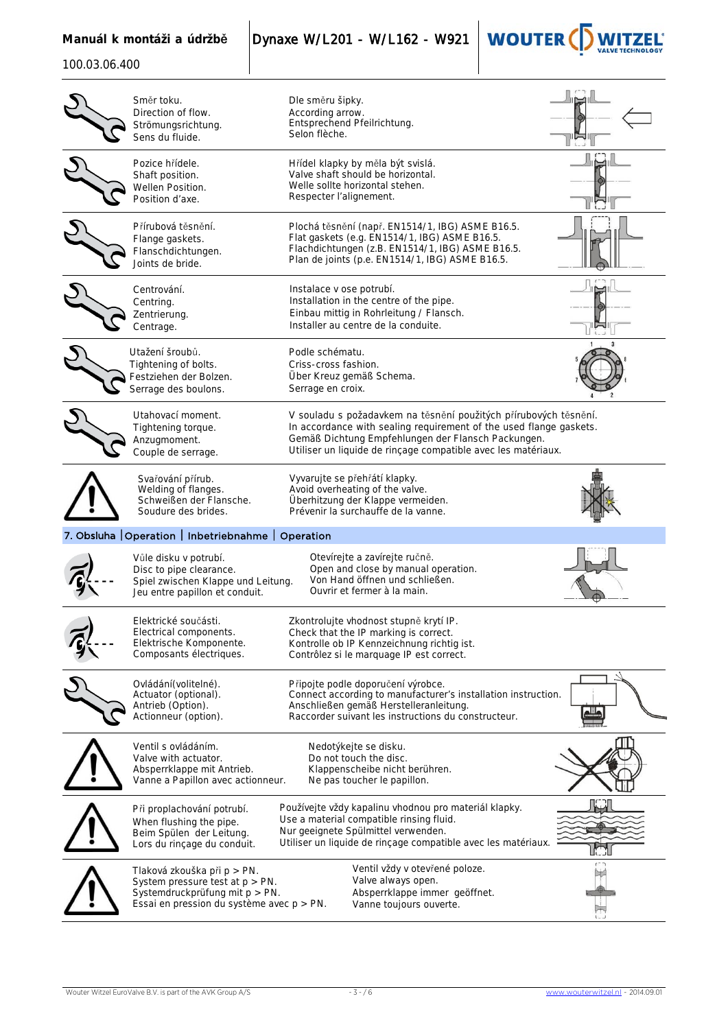**Manuál k montáži a údržbě** Dynaxe W/L201 - W/L162 - W921



| Směr toku.<br>Direction of flow.<br>Strömungsrichtung.<br>Sens du fluide.                                                                        | Dle směru šipky.<br>According arrow.<br>Entsprechend Pfeilrichtung.<br>Selon flèche.                                                                                                                                                                          |  |
|--------------------------------------------------------------------------------------------------------------------------------------------------|---------------------------------------------------------------------------------------------------------------------------------------------------------------------------------------------------------------------------------------------------------------|--|
| Pozice hřídele.<br>Shaft position.<br>Wellen Position.<br>Position d'axe.                                                                        | Hřídel klapky by měla být svislá.<br>Valve shaft should be horizontal.<br>Welle sollte horizontal stehen.<br>Respecter l'alignement.                                                                                                                          |  |
| Přírubová těsnění.<br>Flange gaskets.<br>Flanschdichtungen.<br>Joints de bride.                                                                  | Plochá těsnění (např. EN1514/1, IBG) ASME B16.5.<br>Flat gaskets (e.g. EN1514/1, IBG) ASME B16.5.<br>Flachdichtungen (z.B. EN1514/1, IBG) ASME B16.5.<br>Plan de joints (p.e. EN1514/1, IBG) ASME B16.5.                                                      |  |
| Centrování.<br>Centring.<br>Zentrierung.<br>Centrage.                                                                                            | Instalace v ose potrubí.<br>Installation in the centre of the pipe.<br>Einbau mittig in Rohrleitung / Flansch.<br>Installer au centre de la conduite.                                                                                                         |  |
| Utažení šroubů.<br>Tightening of bolts.<br>Festziehen der Bolzen.<br>Serrage des boulons.                                                        | Podle schématu.<br>Criss-cross fashion.<br>Über Kreuz gemäß Schema.<br>Serrage en croix.                                                                                                                                                                      |  |
| Utahovací moment.<br>Tightening torque.<br>Anzugmoment.<br>Couple de serrage.                                                                    | V souladu s požadavkem na těsnění použitých přírubových těsnění.<br>In accordance with sealing requirement of the used flange gaskets.<br>Gemäß Dichtung Empfehlungen der Flansch Packungen.<br>Utiliser un liquide de rinçage compatible avec les matériaux. |  |
| Svařování přírub.<br>Welding of flanges.<br>Schweißen der Flansche.<br>Soudure des brides.                                                       | Vyvarujte se přehřátí klapky.<br>Avoid overheating of the valve.<br>Überhitzung der Klappe vermeiden.<br>Prévenir la surchauffe de la vanne.                                                                                                                  |  |
| 7. Obsluha   Operation   Inbetriebnahme   Operation                                                                                              |                                                                                                                                                                                                                                                               |  |
| Vůle disku v potrubí.<br>Disc to pipe clearance.<br>Spiel zwischen Klappe und Leitung.<br>Jeu entre papillon et conduit.                         | Otevírejte a zavírejte ručně.<br>Open and close by manual operation.<br>Von Hand öffnen und schließen.<br>Ouvrir et fermer à la main.                                                                                                                         |  |
| Elektrické součásti.<br>Electrical components.<br>Elektrische Komponente.<br>Composants électriques.                                             | Zkontrolujte vhodnost stupně krytí IP.<br>Check that the IP marking is correct.<br>Kontrolle ob IP Kennzeichnung richtig ist.<br>Contrôlez si le marquage IP est correct.                                                                                     |  |
| Ovládání (volitelné).<br>Actuator (optional).<br>Antrieb (Option).<br>Actionneur (option).                                                       | Připojte podle doporučení výrobce.<br>Connect according to manufacturer's installation instruction.<br>Anschließen gemäß Herstelleranleitung.<br>Raccorder suivant les instructions du constructeur.                                                          |  |
| Ventil s ovládáním.<br>Valve with actuator.<br>Absperrklappe mit Antrieb.<br>Vanne a Papillon avec actionneur.                                   | Nedotýkejte se disku.<br>Do not touch the disc.<br>Klappenscheibe nicht berühren.<br>Ne pas toucher le papillon.                                                                                                                                              |  |
| Při proplachování potrubí.<br>When flushing the pipe.<br>Beim Spülen der Leitung.<br>Lors du rinçage du conduit.                                 | Používejte vždy kapalinu vhodnou pro materiál klapky.<br>Use a material compatible rinsing fluid.<br>Nur geeignete Spülmittel verwenden.<br>Utiliser un liquide de rinçage compatible avec les matériaux.                                                     |  |
| Tlaková zkouška při p > PN.<br>System pressure test at $p > PN$ .<br>Systemdruckprüfung mit p > PN.<br>Essai en pression du système avec p > PN. | Ventil vždy v otevřené poloze.<br>Valve always open.<br>Absperrklappe immer geöffnet.<br>Vanne toujours ouverte.                                                                                                                                              |  |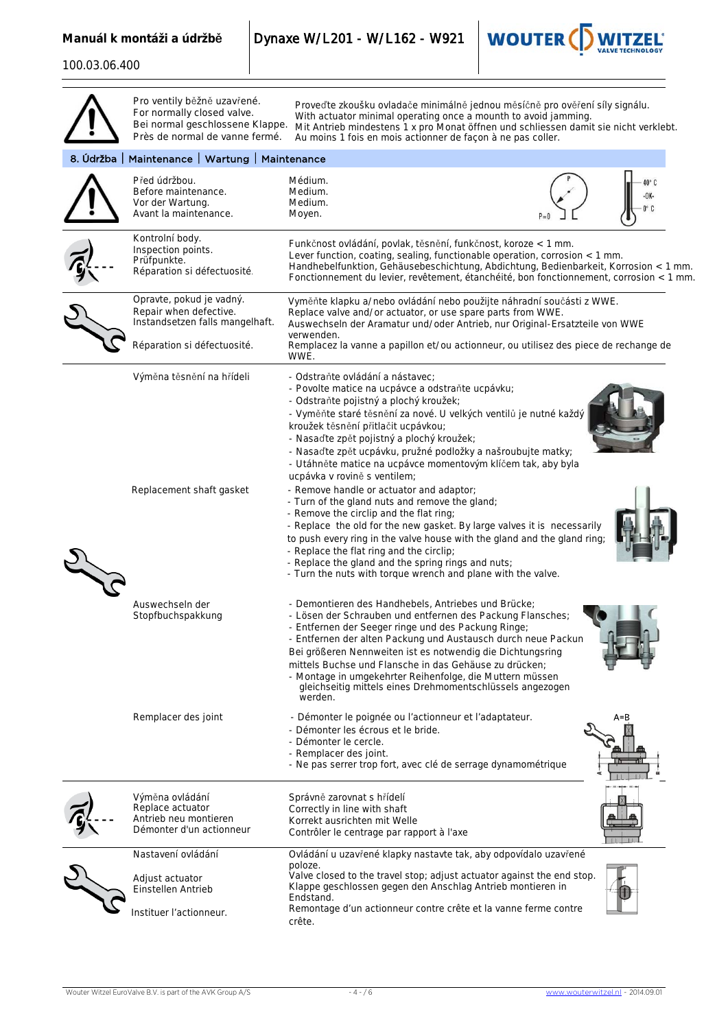**Manuál k montáži a údržbě** Dynaxe W/L201 - W/L162 - W921



|                                                 | Pro ventily běžně uzavřené.<br>For normally closed valve.<br>Bei normal geschlossene Klappe.<br>Près de normal de vanne fermé. | Proveďte zkoušku ovladače minimálně jednou měsíčně pro ověření síly signálu.<br>With actuator minimal operating once a mounth to avoid jamming.<br>Mit Antrieb mindestens 1 x pro Monat öffnen und schliessen damit sie nicht verklebt.<br>Au moins 1 fois en mois actionner de façon à ne pas coller.                                                                                                                                                                                                                                                                                                                                                                                                                                                                                                                                                                                                                            |         |  |  |
|-------------------------------------------------|--------------------------------------------------------------------------------------------------------------------------------|-----------------------------------------------------------------------------------------------------------------------------------------------------------------------------------------------------------------------------------------------------------------------------------------------------------------------------------------------------------------------------------------------------------------------------------------------------------------------------------------------------------------------------------------------------------------------------------------------------------------------------------------------------------------------------------------------------------------------------------------------------------------------------------------------------------------------------------------------------------------------------------------------------------------------------------|---------|--|--|
| 8. Údržba   Maintenance   Wartung   Maintenance |                                                                                                                                |                                                                                                                                                                                                                                                                                                                                                                                                                                                                                                                                                                                                                                                                                                                                                                                                                                                                                                                                   |         |  |  |
|                                                 | Před údržbou.<br>Before maintenance.<br>Vor der Wartung.<br>Avant la maintenance.                                              | Médium.<br>Medium.<br>Medium.<br>Moyen.                                                                                                                                                                                                                                                                                                                                                                                                                                                                                                                                                                                                                                                                                                                                                                                                                                                                                           | 40° C   |  |  |
|                                                 | Kontrolní body.<br>Inspection points.<br>Prüfpunkte.<br>Réparation si défectuosité.                                            | Funkčnost ovládání, povlak, těsnění, funkčnost, koroze < 1 mm.<br>Lever function, coating, sealing, functionable operation, corrosion < 1 mm.<br>Handhebelfunktion, Gehäusebeschichtung, Abdichtung, Bedienbarkeit, Korrosion < 1 mm.<br>Fonctionnement du levier, revêtement, étanchéité, bon fonctionnement, corrosion < 1 mm.                                                                                                                                                                                                                                                                                                                                                                                                                                                                                                                                                                                                  |         |  |  |
|                                                 | Opravte, pokud je vadný.<br>Repair when defective.<br>Instandsetzen falls mangelhaft.<br>Réparation si défectuosité.           | Vyměňte klapku a/nebo ovládání nebo použijte náhradní součásti z WWE.<br>Replace valve and/or actuator, or use spare parts from WWE.<br>Auswechseln der Aramatur und/oder Antrieb, nur Original-Ersatzteile von WWE<br>verwenden.<br>Remplacez la vanne a papillon et/ou actionneur, ou utilisez des piece de rechange de                                                                                                                                                                                                                                                                                                                                                                                                                                                                                                                                                                                                         |         |  |  |
|                                                 | Výměna těsnění na hřídeli<br>Replacement shaft gasket                                                                          | WWE.<br>- Odstraňte ovládání a nástavec;<br>- Povolte matice na ucpávce a odstraňte ucpávku;<br>- Odstraňte pojistný a plochý kroužek;<br>- Vyměňte staré těsnění za nové. U velkých ventilů je nutné každý<br>kroužek těsnění přitlačit ucpávkou;<br>- Nasaďte zpět pojistný a plochý kroužek;<br>- Nasaďte zpět ucpávku, pružné podložky a našroubujte matky;<br>- Utáhněte matice na ucpávce momentovým klíčem tak, aby byla<br>ucpávka v rovině s ventilem;<br>- Remove handle or actuator and adaptor;<br>- Turn of the gland nuts and remove the gland;<br>- Remove the circlip and the flat ring;<br>- Replace the old for the new gasket. By large valves it is necessarily<br>to push every ring in the valve house with the gland and the gland ring;<br>- Replace the flat ring and the circlip;<br>- Replace the gland and the spring rings and nuts;<br>- Turn the nuts with torque wrench and plane with the valve. |         |  |  |
|                                                 | Auswechseln der<br>Stopfbuchspakkung                                                                                           | - Demontieren des Handhebels, Antriebes und Brücke;<br>- Lösen der Schrauben und entfernen des Packung Flansches;<br>- Entfernen der Seeger ringe und des Packung Ringe;<br>- Entfernen der alten Packung und Austausch durch neue Packun<br>Bei größeren Nennweiten ist es notwendig die Dichtungsring<br>mittels Buchse und Flansche in das Gehäuse zu drücken;<br>- Montage in umgekehrter Reihenfolge, die Muttern müssen<br>gleichseitig mittels eines Drehmomentschlüssels angezogen<br>werden.                                                                                                                                                                                                                                                                                                                                                                                                                             |         |  |  |
|                                                 | Remplacer des joint                                                                                                            | - Démonter le poignée ou l'actionneur et l'adaptateur.<br>- Démonter les écrous et le bride.<br>- Démonter le cercle.<br>- Remplacer des joint.<br>- Ne pas serrer trop fort, avec clé de serrage dynamométrique                                                                                                                                                                                                                                                                                                                                                                                                                                                                                                                                                                                                                                                                                                                  | $A = B$ |  |  |
|                                                 | Výměna ovládání<br>Replace actuator<br>Antrieb neu montieren<br>Démonter d'un actionneur                                       | Správně zarovnat s hřídelí<br>Correctly in line with shaft<br>Korrekt ausrichten mit Welle<br>Contrôler le centrage par rapport à l'axe                                                                                                                                                                                                                                                                                                                                                                                                                                                                                                                                                                                                                                                                                                                                                                                           |         |  |  |
|                                                 | Nastavení ovládání<br>Adjust actuator<br>Einstellen Antrieb<br>Instituer l'actionneur.                                         | Ovládání u uzavřené klapky nastavte tak, aby odpovídalo uzavřené<br>poloze.<br>Valve closed to the travel stop; adjust actuator against the end stop.<br>Klappe geschlossen gegen den Anschlag Antrieb montieren in<br>Endstand.<br>Remontage d'un actionneur contre crête et la vanne ferme contre<br>crête.                                                                                                                                                                                                                                                                                                                                                                                                                                                                                                                                                                                                                     |         |  |  |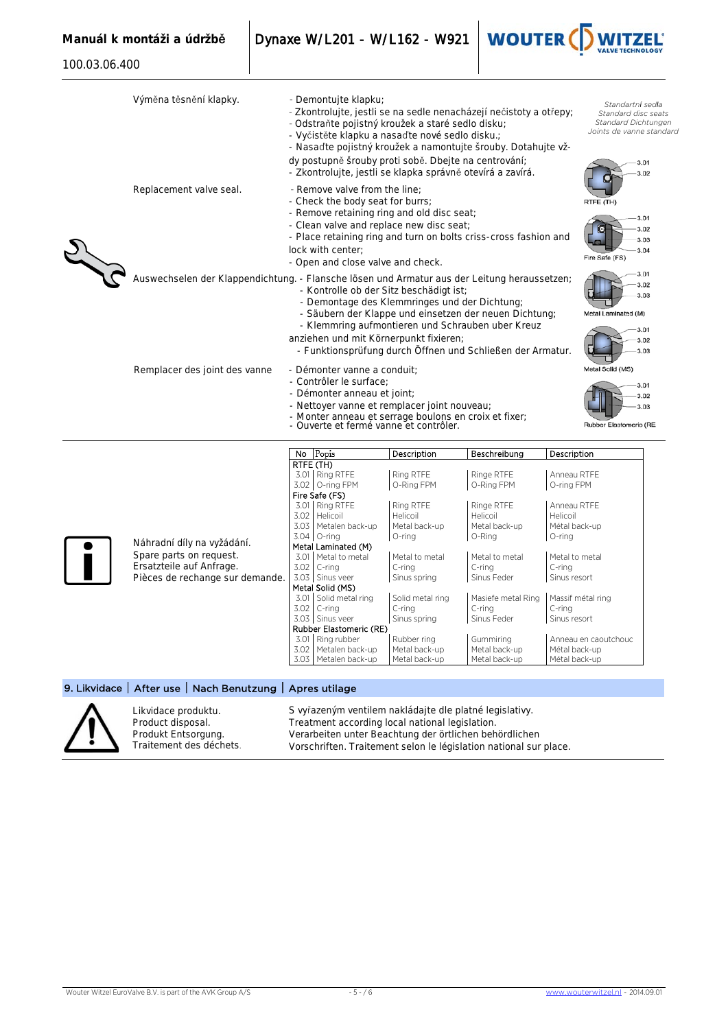100.03.06.400

**Manuál k montáži a údržbě** Dynaxe W/L201 - W/L162 - W921



| Výměna těsnění klapky.                                                                       | - Demontujte klapku;<br>- Zkontrolujte, jestli se na sedle nenacházejí nečistoty a otřepy;<br>- Odstraňte pojistný kroužek a staré sedlo disku;<br>- Vyčistěte klapku a nasaďte nové sedlo disku.;<br>- Nasaďte pojistný kroužek a namontujte šrouby. Dotahujte vž-<br>dy postupně šrouby proti sobě. Dbejte na centrování;<br>- Zkontrolujte, jestli se klapka správně otevírá a zavírá. |                                                                     |                                         | Standartní sedla<br>Standard disc seats<br>Standard Dichtungen<br>Joints de vanne standard<br>3.01<br>3.02 |                                                 |
|----------------------------------------------------------------------------------------------|-------------------------------------------------------------------------------------------------------------------------------------------------------------------------------------------------------------------------------------------------------------------------------------------------------------------------------------------------------------------------------------------|---------------------------------------------------------------------|-----------------------------------------|------------------------------------------------------------------------------------------------------------|-------------------------------------------------|
| Replacement valve seal.                                                                      | - Remove valve from the line:<br>- Check the body seat for burrs;<br>- Remove retaining ring and old disc seat;<br>- Clean valve and replace new disc seat;<br>- Place retaining ring and turn on bolts criss-cross fashion and<br>lock with center:<br>- Open and close valve and check.                                                                                                 |                                                                     |                                         | RTFE (TH)<br>3.01<br>3.02<br>3.03<br>3.04<br>Fire Safe (FS)                                                |                                                 |
| Auswechselen der Klappendichtung. - Flansche lösen und Armatur aus der Leitung heraussetzen; | - Kontrolle ob der Sitz beschädigt ist:<br>- Demontage des Klemmringes und der Dichtung;<br>- Säubern der Klappe und einsetzen der neuen Dichtung;<br>- Klemmring aufmontieren und Schrauben uber Kreuz<br>anziehen und mit Körnerpunkt fixieren;<br>- Funktionsprüfung durch Öffnen und Schließen der Armatur.                                                                           | 3.01<br>3.02<br>3.03<br>Metal Laminated (M)<br>3.01<br>3.02<br>3.03 |                                         |                                                                                                            |                                                 |
| Remplacer des joint des vanne                                                                | Metal Solid (MS)<br>- Démonter vanne a conduit;<br>- Contrôler le surface:<br>- Démonter anneau et joint;<br>- Nettoyer vanne et remplacer joint nouveau;<br>- Monter anneau et serrage boulons en croix et fixer;<br>- Ouverte et fermé vanne et contrôler.                                                                                                                              |                                                                     |                                         |                                                                                                            | 3.01<br>3.02<br>3.03<br>Rubber Elastomeric (RE. |
|                                                                                              | No Popis                                                                                                                                                                                                                                                                                                                                                                                  | Description                                                         | Beschreibung                            | Description                                                                                                |                                                 |
|                                                                                              | RTFE (TH)<br>3.01 Ring RTFE<br>3.02 O-ring FPM<br>Fire Safe (FS)<br>3.01 Ring RTFE                                                                                                                                                                                                                                                                                                        | Ring RTFE<br>O-Ring FPM<br>Ring RTFE                                | Ringe RTFE<br>O-Ring FPM<br>Ringe RTFE  | Anneau RTFE<br>O-ring FPM<br>Anneau RTFE                                                                   |                                                 |
| Náhradní díly na vyžádání.                                                                   | 3.02<br>Helicoil<br>3.03   Metalen back-up<br>$3.04$ O-ring<br>Metal Laminated (M)                                                                                                                                                                                                                                                                                                        | Helicoil<br>Metal back-up<br>O-ring                                 | Helicoil<br>Metal back-up<br>O-Ring     | Helicoil<br>Métal back-up<br>O-ring                                                                        |                                                 |
| Spare parts on request.<br>Ersatzteile auf Anfrage.<br>Pièces de rechange sur demande.       | 3.01 Metal to metal<br>3.02<br>C-ring<br>3.03 Sinus veer                                                                                                                                                                                                                                                                                                                                  | Metal to metal<br>C-ring<br>Sinus spring                            | Metal to metal<br>C-ring<br>Sinus Feder | Metal to metal<br>C-ring<br>Sinus resort                                                                   |                                                 |





Likvidace produktu. Product disposal. Produkt Entsorgung. Traitement des déchets. S vyřazeným ventilem nakládajte dle platné legislativy. Treatment according local national legislation. Verarbeiten unter Beachtung der örtlichen behördlichen Vorschriften. Traitement selon le législation national sur place.